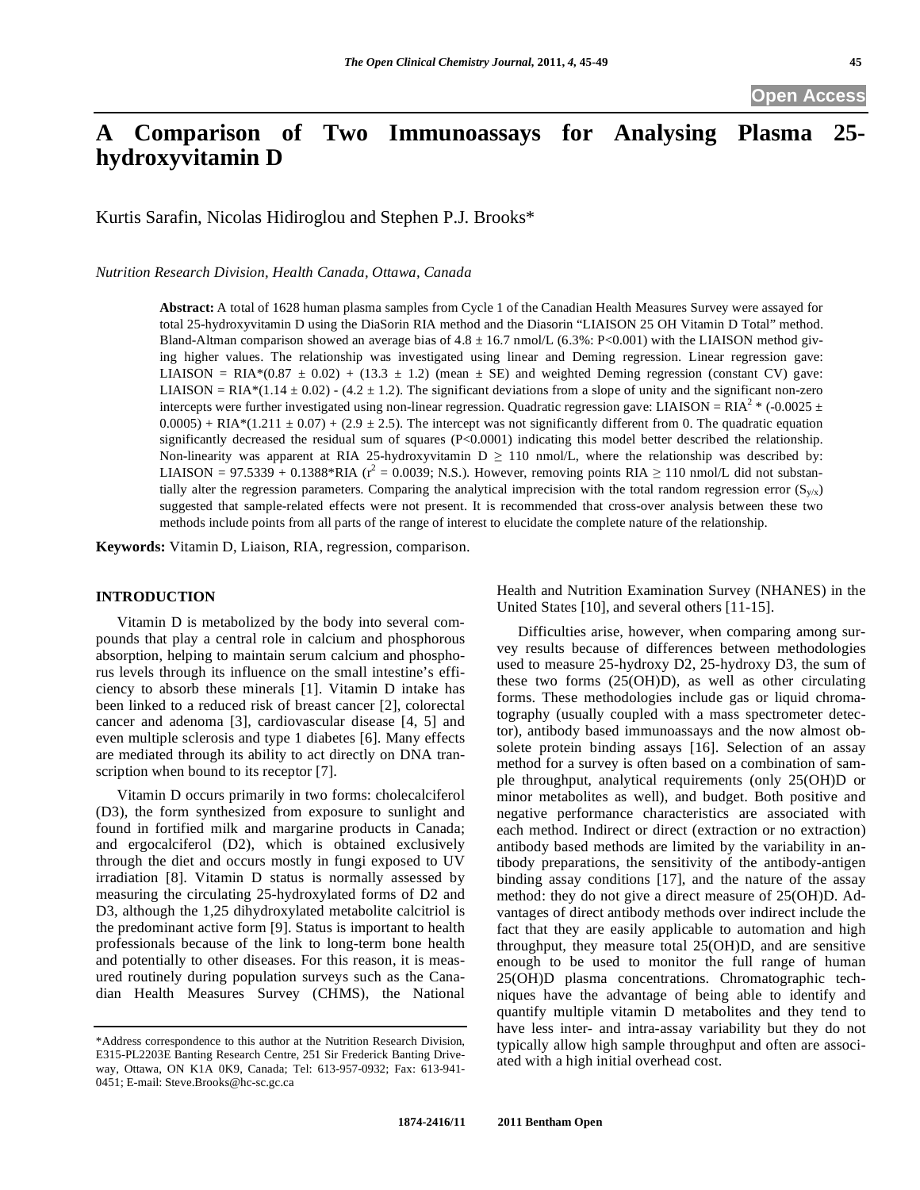## **Open Access**

# **A Comparison of Two Immunoassays for Analysing Plasma 25 hydroxyvitamin D**

Kurtis Sarafin, Nicolas Hidiroglou and Stephen P.J. Brooks\*

*Nutrition Research Division, Health Canada, Ottawa, Canada* 

**Abstract:** A total of 1628 human plasma samples from Cycle 1 of the Canadian Health Measures Survey were assayed for total 25-hydroxyvitamin D using the DiaSorin RIA method and the Diasorin "LIAISON 25 OH Vitamin D Total" method. Bland-Altman comparison showed an average bias of  $4.8 \pm 16.7$  nmol/L (6.3%: P<0.001) with the LIAISON method giving higher values. The relationship was investigated using linear and Deming regression. Linear regression gave: LIAISON = RIA\*(0.87  $\pm$  0.02) + (13.3  $\pm$  1.2) (mean  $\pm$  SE) and weighted Deming regression (constant CV) gave: LIAISON = RIA\* $(1.14 \pm 0.02)$  -  $(4.2 \pm 1.2)$ . The significant deviations from a slope of unity and the significant non-zero intercepts were further investigated using non-linear regression. Quadratic regression gave: LIAISON =  $RIA<sup>2</sup>$  \* (-0.0025  $\pm$  $0.0005$ ) + RIA\*(1.211  $\pm$  0.07) + (2.9  $\pm$  2.5). The intercept was not significantly different from 0. The quadratic equation significantly decreased the residual sum of squares (P<0.0001) indicating this model better described the relationship. Non-linearity was apparent at RIA 25-hydroxyvitamin  $D \ge 110$  nmol/L, where the relationship was described by: LIAISON = 97.5339 + 0.1388\*RIA ( $r^2$  = 0.0039; N.S.). However, removing points RIA  $\geq 110$  nmol/L did not substantially alter the regression parameters. Comparing the analytical imprecision with the total random regression error  $(S_{v/x})$ suggested that sample-related effects were not present. It is recommended that cross-over analysis between these two methods include points from all parts of the range of interest to elucidate the complete nature of the relationship.

**Keywords:** Vitamin D, Liaison, RIA, regression, comparison.

## **INTRODUCTION**

 Vitamin D is metabolized by the body into several compounds that play a central role in calcium and phosphorous absorption, helping to maintain serum calcium and phosphorus levels through its influence on the small intestine's efficiency to absorb these minerals [1]. Vitamin D intake has been linked to a reduced risk of breast cancer [2], colorectal cancer and adenoma [3], cardiovascular disease [4, 5] and even multiple sclerosis and type 1 diabetes [6]. Many effects are mediated through its ability to act directly on DNA transcription when bound to its receptor [7].

 Vitamin D occurs primarily in two forms: cholecalciferol (D3), the form synthesized from exposure to sunlight and found in fortified milk and margarine products in Canada; and ergocalciferol (D2), which is obtained exclusively through the diet and occurs mostly in fungi exposed to UV irradiation [8]. Vitamin D status is normally assessed by measuring the circulating 25-hydroxylated forms of D2 and D3, although the 1,25 dihydroxylated metabolite calcitriol is the predominant active form [9]. Status is important to health professionals because of the link to long-term bone health and potentially to other diseases. For this reason, it is measured routinely during population surveys such as the Canadian Health Measures Survey (CHMS), the National

Health and Nutrition Examination Survey (NHANES) in the United States [10], and several others [11-15].

 Difficulties arise, however, when comparing among survey results because of differences between methodologies used to measure 25-hydroxy D2, 25-hydroxy D3, the sum of these two forms (25(OH)D), as well as other circulating forms. These methodologies include gas or liquid chromatography (usually coupled with a mass spectrometer detector), antibody based immunoassays and the now almost obsolete protein binding assays [16]. Selection of an assay method for a survey is often based on a combination of sample throughput, analytical requirements (only 25(OH)D or minor metabolites as well), and budget. Both positive and negative performance characteristics are associated with each method. Indirect or direct (extraction or no extraction) antibody based methods are limited by the variability in antibody preparations, the sensitivity of the antibody-antigen binding assay conditions [17], and the nature of the assay method: they do not give a direct measure of 25(OH)D. Advantages of direct antibody methods over indirect include the fact that they are easily applicable to automation and high throughput, they measure total 25(OH)D, and are sensitive enough to be used to monitor the full range of human 25(OH)D plasma concentrations. Chromatographic techniques have the advantage of being able to identify and quantify multiple vitamin D metabolites and they tend to have less inter- and intra-assay variability but they do not typically allow high sample throughput and often are associated with a high initial overhead cost.

<sup>\*</sup>Address correspondence to this author at the Nutrition Research Division, E315-PL2203E Banting Research Centre, 251 Sir Frederick Banting Driveway, Ottawa, ON K1A 0K9, Canada; Tel: 613-957-0932; Fax: 613-941- 0451; E-mail: Steve.Brooks@hc-sc.gc.ca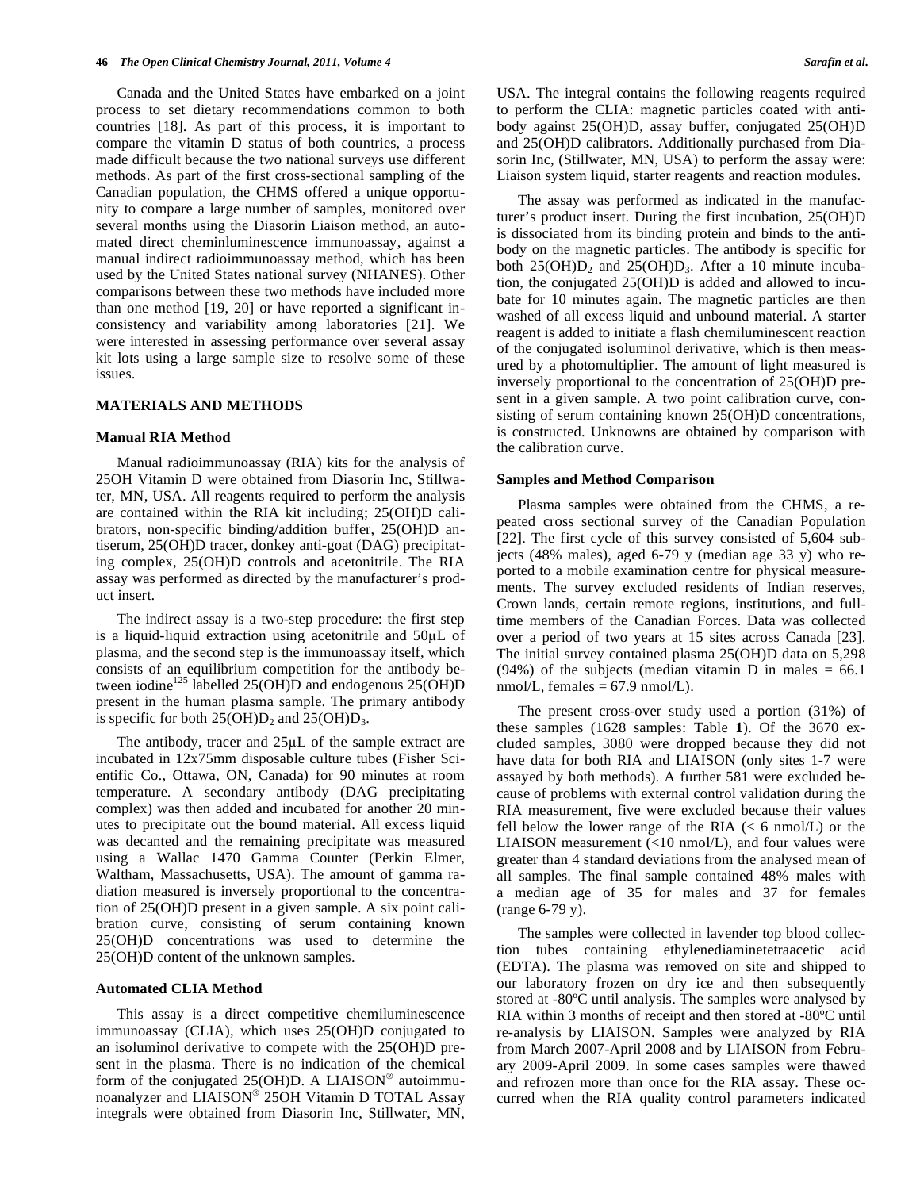Canada and the United States have embarked on a joint process to set dietary recommendations common to both countries [18]. As part of this process, it is important to compare the vitamin D status of both countries, a process made difficult because the two national surveys use different methods. As part of the first cross-sectional sampling of the Canadian population, the CHMS offered a unique opportunity to compare a large number of samples, monitored over several months using the Diasorin Liaison method, an automated direct cheminluminescence immunoassay, against a manual indirect radioimmunoassay method, which has been used by the United States national survey (NHANES). Other comparisons between these two methods have included more than one method [19, 20] or have reported a significant inconsistency and variability among laboratories [21]. We were interested in assessing performance over several assay kit lots using a large sample size to resolve some of these issues.

## **MATERIALS AND METHODS**

#### **Manual RIA Method**

 Manual radioimmunoassay (RIA) kits for the analysis of 25OH Vitamin D were obtained from Diasorin Inc, Stillwater, MN, USA. All reagents required to perform the analysis are contained within the RIA kit including; 25(OH)D calibrators, non-specific binding/addition buffer, 25(OH)D antiserum, 25(OH)D tracer, donkey anti-goat (DAG) precipitating complex, 25(OH)D controls and acetonitrile. The RIA assay was performed as directed by the manufacturer's product insert.

 The indirect assay is a two-step procedure: the first step is a liquid-liquid extraction using acetonitrile and  $50\mu$ L of plasma, and the second step is the immunoassay itself, which consists of an equilibrium competition for the antibody between iodine<sup>125</sup> labelled 25(OH)D and endogenous 25(OH)D present in the human plasma sample. The primary antibody is specific for both  $25(OH)D_2$  and  $25(OH)D_3$ .

The antibody, tracer and  $25\mu L$  of the sample extract are incubated in 12x75mm disposable culture tubes (Fisher Scientific Co., Ottawa, ON, Canada) for 90 minutes at room temperature. A secondary antibody (DAG precipitating complex) was then added and incubated for another 20 minutes to precipitate out the bound material. All excess liquid was decanted and the remaining precipitate was measured using a Wallac 1470 Gamma Counter (Perkin Elmer, Waltham, Massachusetts, USA). The amount of gamma radiation measured is inversely proportional to the concentration of 25(OH)D present in a given sample. A six point calibration curve, consisting of serum containing known 25(OH)D concentrations was used to determine the 25(OH)D content of the unknown samples.

## **Automated CLIA Method**

 This assay is a direct competitive chemiluminescence immunoassay (CLIA), which uses 25(OH)D conjugated to an isoluminol derivative to compete with the 25(OH)D present in the plasma. There is no indication of the chemical form of the conjugated  $25(OH)D$ . A LIAISON<sup>®</sup> autoimmunoanalyzer and LIAISON® 25OH Vitamin D TOTAL Assay integrals were obtained from Diasorin Inc, Stillwater, MN, USA. The integral contains the following reagents required to perform the CLIA: magnetic particles coated with antibody against 25(OH)D, assay buffer, conjugated 25(OH)D and 25(OH)D calibrators. Additionally purchased from Diasorin Inc, (Stillwater, MN, USA) to perform the assay were: Liaison system liquid, starter reagents and reaction modules.

 The assay was performed as indicated in the manufacturer's product insert. During the first incubation, 25(OH)D is dissociated from its binding protein and binds to the antibody on the magnetic particles. The antibody is specific for both  $25(OH)D_2$  and  $25(OH)D_3$ . After a 10 minute incubation, the conjugated 25(OH)D is added and allowed to incubate for 10 minutes again. The magnetic particles are then washed of all excess liquid and unbound material. A starter reagent is added to initiate a flash chemiluminescent reaction of the conjugated isoluminol derivative, which is then measured by a photomultiplier. The amount of light measured is inversely proportional to the concentration of 25(OH)D present in a given sample. A two point calibration curve, consisting of serum containing known 25(OH)D concentrations, is constructed. Unknowns are obtained by comparison with the calibration curve.

## **Samples and Method Comparison**

 Plasma samples were obtained from the CHMS, a repeated cross sectional survey of the Canadian Population [22]. The first cycle of this survey consisted of 5,604 subjects (48% males), aged 6-79 y (median age 33 y) who reported to a mobile examination centre for physical measurements. The survey excluded residents of Indian reserves, Crown lands, certain remote regions, institutions, and fulltime members of the Canadian Forces. Data was collected over a period of two years at 15 sites across Canada [23]. The initial survey contained plasma 25(OH)D data on 5,298  $(94%)$  of the subjects (median vitamin D in males = 66.1 nmol/L, females  $= 67.9$  nmol/L).

 The present cross-over study used a portion (31%) of these samples (1628 samples: Table **1**). Of the 3670 excluded samples, 3080 were dropped because they did not have data for both RIA and LIAISON (only sites 1-7 were assayed by both methods). A further 581 were excluded because of problems with external control validation during the RIA measurement, five were excluded because their values fell below the lower range of the RIA  $(< 6 \text{ nmol/L})$  or the LIAISON measurement  $(\langle 10 \text{ nmol/L})$ , and four values were greater than 4 standard deviations from the analysed mean of all samples. The final sample contained 48% males with a median age of 35 for males and 37 for females (range 6-79 y).

 The samples were collected in lavender top blood collection tubes containing ethylenediaminetetraacetic acid (EDTA). The plasma was removed on site and shipped to our laboratory frozen on dry ice and then subsequently stored at -80ºC until analysis. The samples were analysed by RIA within 3 months of receipt and then stored at -80ºC until re-analysis by LIAISON. Samples were analyzed by RIA from March 2007-April 2008 and by LIAISON from February 2009-April 2009. In some cases samples were thawed and refrozen more than once for the RIA assay. These occurred when the RIA quality control parameters indicated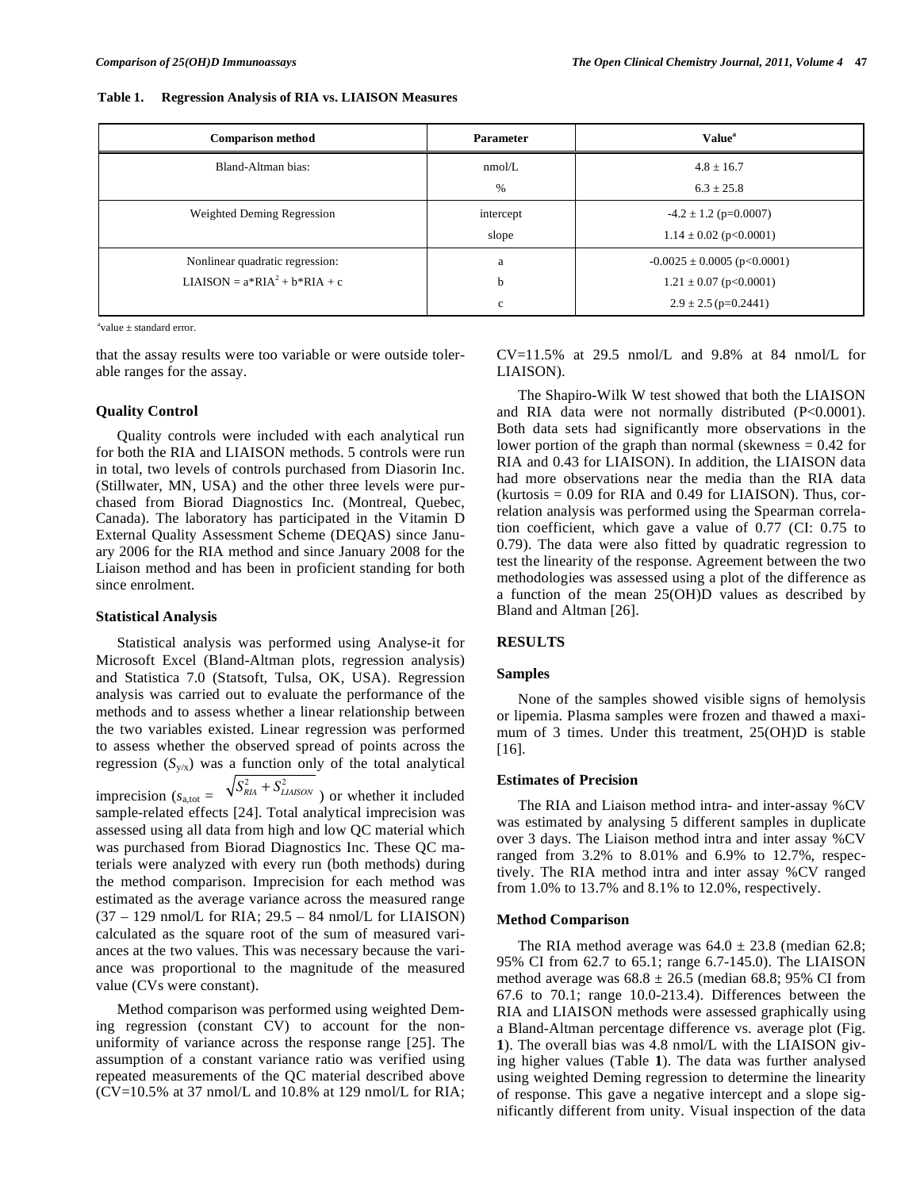#### **Table 1. Regression Analysis of RIA vs. LIAISON Measures**

| <b>Comparison method</b>        | <b>Parameter</b> | <b>Value</b> <sup>a</sup>       |
|---------------------------------|------------------|---------------------------------|
| Bland-Altman bias:              | nmol/L           | $4.8 \pm 16.7$                  |
|                                 | $\%$             | $6.3 \pm 25.8$                  |
| Weighted Deming Regression      | intercept        | $-4.2 \pm 1.2$ (p=0.0007)       |
|                                 | slope            | $1.14 \pm 0.02$ (p<0.0001)      |
| Nonlinear quadratic regression: | a                | $-0.0025 \pm 0.0005$ (p<0.0001) |
| LIAISON = $a*RIA^2 + b*RIA + c$ | b                | $1.21 \pm 0.07$ (p<0.0001)      |
|                                 | $\mathbf{c}$     | $2.9 \pm 2.5$ (p=0.2441)        |

 $a^a$ value  $\pm$  standard error.

that the assay results were too variable or were outside tolerable ranges for the assay.

## **Quality Control**

 Quality controls were included with each analytical run for both the RIA and LIAISON methods. 5 controls were run in total, two levels of controls purchased from Diasorin Inc. (Stillwater, MN, USA) and the other three levels were purchased from Biorad Diagnostics Inc. (Montreal, Quebec, Canada). The laboratory has participated in the Vitamin D External Quality Assessment Scheme (DEQAS) since January 2006 for the RIA method and since January 2008 for the Liaison method and has been in proficient standing for both since enrolment.

#### **Statistical Analysis**

 Statistical analysis was performed using Analyse-it for Microsoft Excel (Bland-Altman plots, regression analysis) and Statistica 7.0 (Statsoft, Tulsa, OK, USA). Regression analysis was carried out to evaluate the performance of the methods and to assess whether a linear relationship between the two variables existed. Linear regression was performed to assess whether the observed spread of points across the regression  $(S_{v/x})$  was a function only of the total analytical imprecision  $(s_{a,tot} = \sqrt{S_{RA}^2 + S_{LIASON}^2})$  or whether it included sample-related effects [24]. Total analytical imprecision was assessed using all data from high and low QC material which was purchased from Biorad Diagnostics Inc. These QC materials were analyzed with every run (both methods) during the method comparison. Imprecision for each method was estimated as the average variance across the measured range  $(37 – 129$  nmol/L for RIA;  $29.5 – 84$  nmol/L for LIAISON) calculated as the square root of the sum of measured variances at the two values. This was necessary because the variance was proportional to the magnitude of the measured value (CVs were constant).

 Method comparison was performed using weighted Deming regression (constant CV) to account for the nonuniformity of variance across the response range [25]. The assumption of a constant variance ratio was verified using repeated measurements of the QC material described above (CV=10.5% at 37 nmol/L and 10.8% at 129 nmol/L for RIA;  $CV=11.5%$  at 29.5 nmol/L and 9.8% at 84 nmol/L for LIAISON).

 The Shapiro-Wilk W test showed that both the LIAISON and RIA data were not normally distributed (P<0.0001). Both data sets had significantly more observations in the lower portion of the graph than normal (skewness = 0.42 for RIA and 0.43 for LIAISON). In addition, the LIAISON data had more observations near the media than the RIA data  $(kurtosis = 0.09$  for RIA and 0.49 for LIAISON). Thus, correlation analysis was performed using the Spearman correlation coefficient, which gave a value of 0.77 (CI: 0.75 to 0.79). The data were also fitted by quadratic regression to test the linearity of the response. Agreement between the two methodologies was assessed using a plot of the difference as a function of the mean 25(OH)D values as described by Bland and Altman [26].

#### **RESULTS**

#### **Samples**

 None of the samples showed visible signs of hemolysis or lipemia. Plasma samples were frozen and thawed a maximum of 3 times. Under this treatment, 25(OH)D is stable [16].

## **Estimates of Precision**

 The RIA and Liaison method intra- and inter-assay %CV was estimated by analysing 5 different samples in duplicate over 3 days. The Liaison method intra and inter assay %CV ranged from 3.2% to 8.01% and 6.9% to 12.7%, respectively. The RIA method intra and inter assay %CV ranged from 1.0% to 13.7% and 8.1% to 12.0%, respectively.

#### **Method Comparison**

The RIA method average was  $64.0 \pm 23.8$  (median 62.8; 95% CI from 62.7 to 65.1; range 6.7-145.0). The LIAISON method average was  $68.8 \pm 26.5$  (median 68.8; 95% CI from 67.6 to 70.1; range 10.0-213.4). Differences between the RIA and LIAISON methods were assessed graphically using a Bland-Altman percentage difference vs. average plot (Fig. **1**). The overall bias was 4.8 nmol/L with the LIAISON giving higher values (Table **1**). The data was further analysed using weighted Deming regression to determine the linearity of response. This gave a negative intercept and a slope significantly different from unity. Visual inspection of the data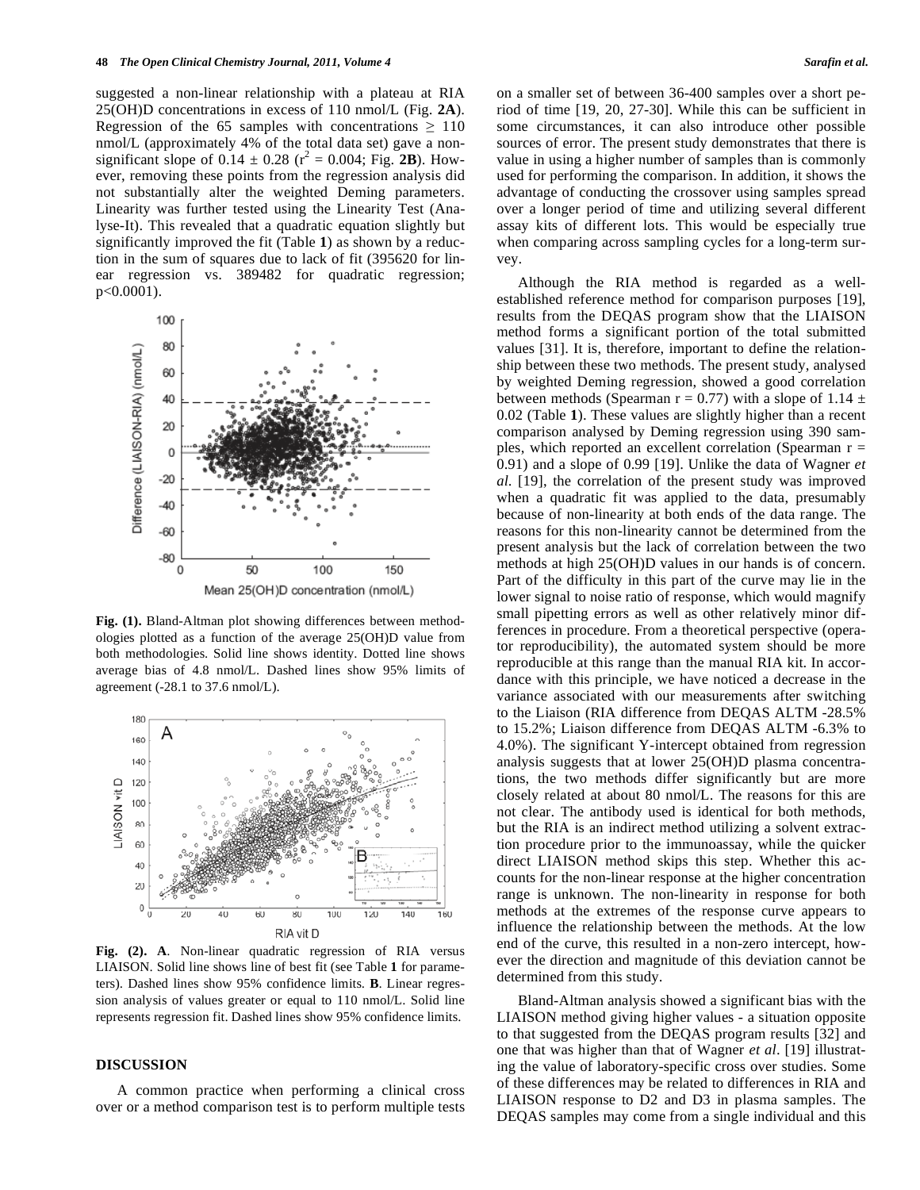suggested a non-linear relationship with a plateau at RIA 25(OH)D concentrations in excess of 110 nmol/L (Fig. **2A**). Regression of the 65 samples with concentrations  $\geq 110$ nmol/L (approximately 4% of the total data set) gave a nonsignificant slope of  $0.14 \pm 0.28$  ( $r^2 = 0.004$ ; Fig. 2B). However, removing these points from the regression analysis did not substantially alter the weighted Deming parameters. Linearity was further tested using the Linearity Test (Analyse-It). This revealed that a quadratic equation slightly but significantly improved the fit (Table **1**) as shown by a reduction in the sum of squares due to lack of fit (395620 for linear regression vs. 389482 for quadratic regression; p<0.0001).



**Fig. (1).** Bland-Altman plot showing differences between methodologies plotted as a function of the average 25(OH)D value from both methodologies. Solid line shows identity. Dotted line shows average bias of 4.8 nmol/L. Dashed lines show 95% limits of agreement (-28.1 to 37.6 nmol/L).



**Fig. (2). A**. Non-linear quadratic regression of RIA versus LIAISON. Solid line shows line of best fit (see Table **1** for parameters). Dashed lines show 95% confidence limits. **B**. Linear regression analysis of values greater or equal to 110 nmol/L. Solid line represents regression fit. Dashed lines show 95% confidence limits.

## **DISCUSSION**

 A common practice when performing a clinical cross over or a method comparison test is to perform multiple tests on a smaller set of between 36-400 samples over a short period of time [19, 20, 27-30]. While this can be sufficient in some circumstances, it can also introduce other possible sources of error. The present study demonstrates that there is value in using a higher number of samples than is commonly used for performing the comparison. In addition, it shows the advantage of conducting the crossover using samples spread over a longer period of time and utilizing several different assay kits of different lots. This would be especially true when comparing across sampling cycles for a long-term survey.

 Although the RIA method is regarded as a wellestablished reference method for comparison purposes [19], results from the DEQAS program show that the LIAISON method forms a significant portion of the total submitted values [31]. It is, therefore, important to define the relationship between these two methods. The present study, analysed by weighted Deming regression, showed a good correlation between methods (Spearman  $r = 0.77$ ) with a slope of 1.14  $\pm$ 0.02 (Table **1**). These values are slightly higher than a recent comparison analysed by Deming regression using 390 samples, which reported an excellent correlation (Spearman  $r =$ 0.91) and a slope of 0.99 [19]. Unlike the data of Wagner *et al*. [19], the correlation of the present study was improved when a quadratic fit was applied to the data, presumably because of non-linearity at both ends of the data range. The reasons for this non-linearity cannot be determined from the present analysis but the lack of correlation between the two methods at high 25(OH)D values in our hands is of concern. Part of the difficulty in this part of the curve may lie in the lower signal to noise ratio of response, which would magnify small pipetting errors as well as other relatively minor differences in procedure. From a theoretical perspective (operator reproducibility), the automated system should be more reproducible at this range than the manual RIA kit. In accordance with this principle, we have noticed a decrease in the variance associated with our measurements after switching to the Liaison (RIA difference from DEQAS ALTM -28.5% to 15.2%; Liaison difference from DEQAS ALTM -6.3% to 4.0%). The significant Y-intercept obtained from regression analysis suggests that at lower 25(OH)D plasma concentrations, the two methods differ significantly but are more closely related at about 80 nmol/L. The reasons for this are not clear. The antibody used is identical for both methods, but the RIA is an indirect method utilizing a solvent extraction procedure prior to the immunoassay, while the quicker direct LIAISON method skips this step. Whether this accounts for the non-linear response at the higher concentration range is unknown. The non-linearity in response for both methods at the extremes of the response curve appears to influence the relationship between the methods. At the low end of the curve, this resulted in a non-zero intercept, however the direction and magnitude of this deviation cannot be determined from this study.

 Bland-Altman analysis showed a significant bias with the LIAISON method giving higher values - a situation opposite to that suggested from the DEQAS program results [32] and one that was higher than that of Wagner *et al*. [19] illustrating the value of laboratory-specific cross over studies. Some of these differences may be related to differences in RIA and LIAISON response to D2 and D3 in plasma samples. The DEQAS samples may come from a single individual and this